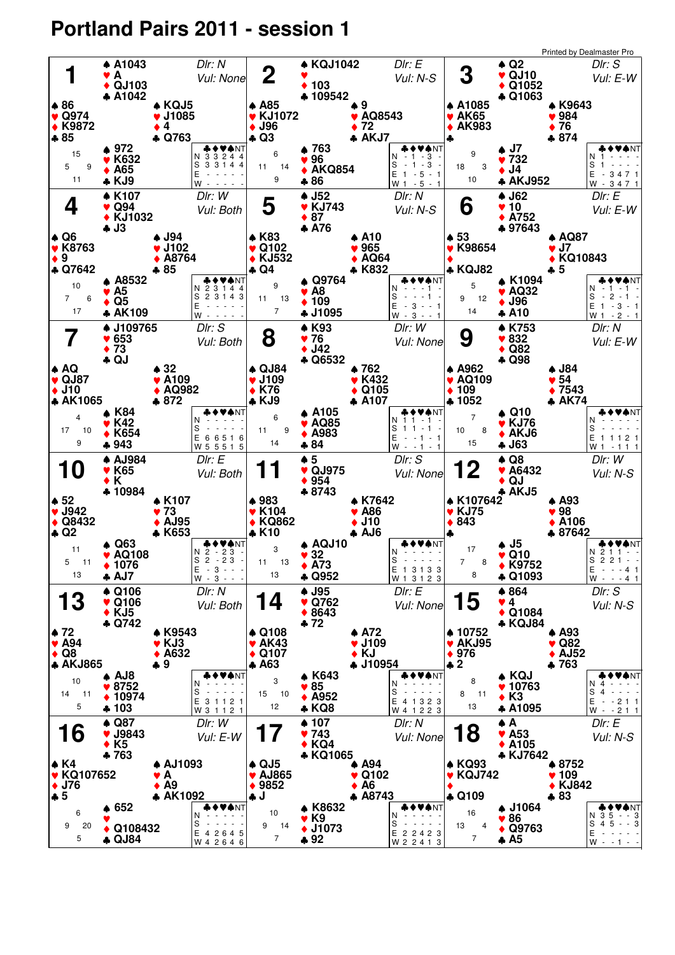## **Portland Pairs 2011 - session 1**